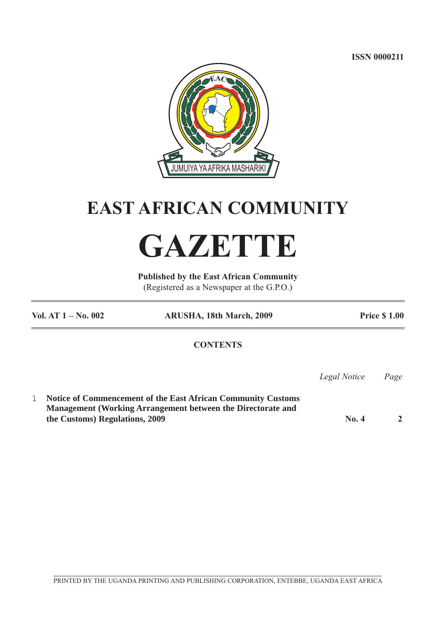**ISSN 0000211**



## **EAST AFRICAN COMMUNITY**

# **GAZETTE**

**Published by the East African Community** (Registered as a Newspaper at the G.P.O.)

**Vol. AT 1 – No. 002 ARUSHA, 18th March, 2009 Price \$ 1.00 CONTENTS** *Legal Notice Page* l **Notice of Commencement of the East African Community Customs Management (Working Arrangement between the Directorate and the Customs) Regulations, 2009 No. 4** 2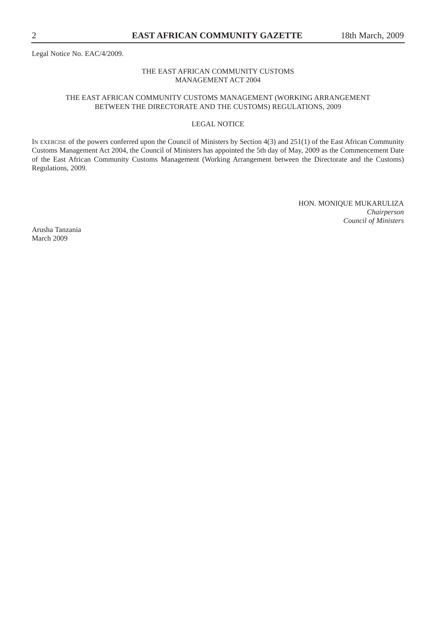Legal Notice No. EAC/4/2009.

#### THE EAST AFRICAN COMMUNITY CUSTOMS MANAGEMENT ACT 2004

### THE EAST AFRICAN COMMUNITY CUSTOMS MANAGEMENT (WORKING ARRANGEMENT BETWEEN THE DIRECTORATE AND THE CUSTOMS) REGULATIONS, 2009

### LEGAL NOTICE

IN EXERCISE of the powers conferred upon the Council of Ministers by Section 4(3) and 251(1) of the East African Community Customs Management Act 2004, the Council of Ministers has appointed the 5th day of May, 2009 as the Commencement Date of the East African Community Customs Management (Working Arrangement between the Directorate and the Customs) Regulations, 2009.

> HON. MONIQUE MUKARULIZA *Chairperson Council of Ministers*

Arusha Tanzania March 2009